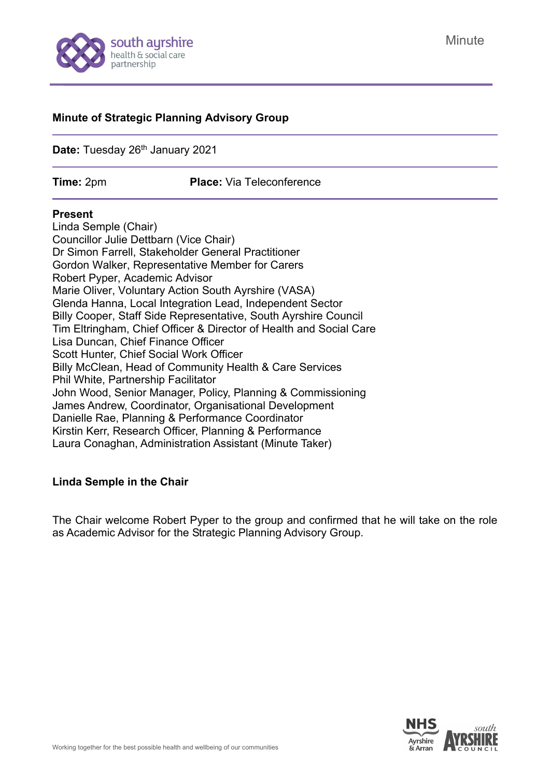

#### **Minute of Strategic Planning Advisory Group**

Date: Tuesday 26<sup>th</sup> January 2021

**Time:** 2pm **Place:** Via Teleconference

#### **Present**

Linda Semple (Chair) Councillor Julie Dettbarn (Vice Chair) Dr Simon Farrell, Stakeholder General Practitioner Gordon Walker, Representative Member for Carers Robert Pyper, Academic Advisor Marie Oliver, Voluntary Action South Ayrshire (VASA) Glenda Hanna, Local Integration Lead, Independent Sector Billy Cooper, Staff Side Representative, South Ayrshire Council Tim Eltringham, Chief Officer & Director of Health and Social Care Lisa Duncan, Chief Finance Officer Scott Hunter, Chief Social Work Officer Billy McClean, Head of Community Health & Care Services Phil White, Partnership Facilitator John Wood, Senior Manager, Policy, Planning & Commissioning James Andrew, Coordinator, Organisational Development Danielle Rae, Planning & Performance Coordinator Kirstin Kerr, Research Officer, Planning & Performance Laura Conaghan, Administration Assistant (Minute Taker)

#### **Linda Semple in the Chair**

The Chair welcome Robert Pyper to the group and confirmed that he will take on the role as Academic Advisor for the Strategic Planning Advisory Group.

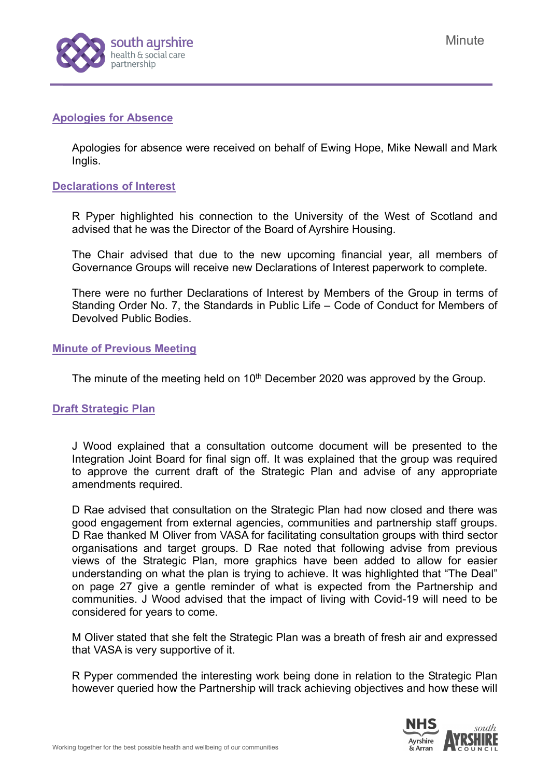

### **Apologies for Absence**

Apologies for absence were received on behalf of Ewing Hope, Mike Newall and Mark Inglis.

### **Declarations of Interest**

R Pyper highlighted his connection to the University of the West of Scotland and advised that he was the Director of the Board of Ayrshire Housing.

The Chair advised that due to the new upcoming financial year, all members of Governance Groups will receive new Declarations of Interest paperwork to complete.

There were no further Declarations of Interest by Members of the Group in terms of Standing Order No. 7, the Standards in Public Life – Code of Conduct for Members of Devolved Public Bodies.

#### **Minute of Previous Meeting**

The minute of the meeting held on 10<sup>th</sup> December 2020 was approved by the Group.

#### **Draft Strategic Plan**

J Wood explained that a consultation outcome document will be presented to the Integration Joint Board for final sign off. It was explained that the group was required to approve the current draft of the Strategic Plan and advise of any appropriate amendments required.

D Rae advised that consultation on the Strategic Plan had now closed and there was good engagement from external agencies, communities and partnership staff groups. D Rae thanked M Oliver from VASA for facilitating consultation groups with third sector organisations and target groups. D Rae noted that following advise from previous views of the Strategic Plan, more graphics have been added to allow for easier understanding on what the plan is trying to achieve. It was highlighted that "The Deal" on page 27 give a gentle reminder of what is expected from the Partnership and communities. J Wood advised that the impact of living with Covid-19 will need to be considered for years to come.

M Oliver stated that she felt the Strategic Plan was a breath of fresh air and expressed that VASA is very supportive of it.

R Pyper commended the interesting work being done in relation to the Strategic Plan however queried how the Partnership will track achieving objectives and how these will

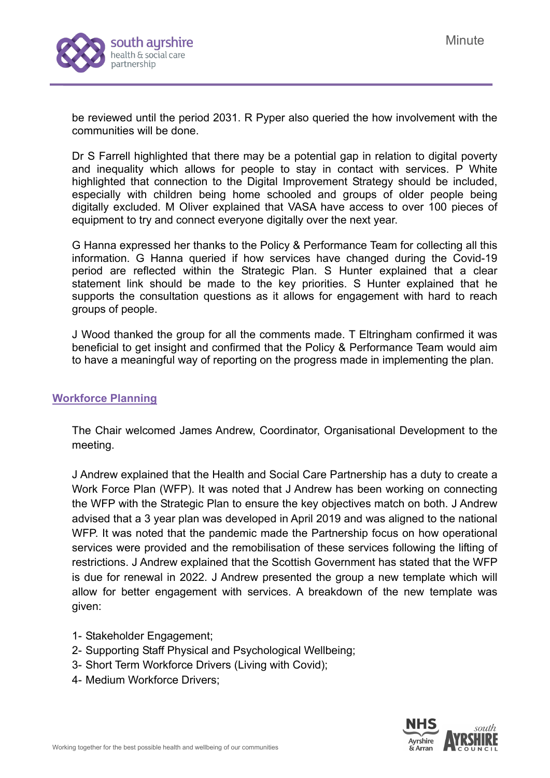

be reviewed until the period 2031. R Pyper also queried the how involvement with the communities will be done.

Dr S Farrell highlighted that there may be a potential gap in relation to digital poverty and inequality which allows for people to stay in contact with services. P White highlighted that connection to the Digital Improvement Strategy should be included, especially with children being home schooled and groups of older people being digitally excluded. M Oliver explained that VASA have access to over 100 pieces of equipment to try and connect everyone digitally over the next year.

G Hanna expressed her thanks to the Policy & Performance Team for collecting all this information. G Hanna queried if how services have changed during the Covid-19 period are reflected within the Strategic Plan. S Hunter explained that a clear statement link should be made to the key priorities. S Hunter explained that he supports the consultation questions as it allows for engagement with hard to reach groups of people.

J Wood thanked the group for all the comments made. T Eltringham confirmed it was beneficial to get insight and confirmed that the Policy & Performance Team would aim to have a meaningful way of reporting on the progress made in implementing the plan.

#### **Workforce Planning**

The Chair welcomed James Andrew, Coordinator, Organisational Development to the meeting.

J Andrew explained that the Health and Social Care Partnership has a duty to create a Work Force Plan (WFP). It was noted that J Andrew has been working on connecting the WFP with the Strategic Plan to ensure the key objectives match on both. J Andrew advised that a 3 year plan was developed in April 2019 and was aligned to the national WFP. It was noted that the pandemic made the Partnership focus on how operational services were provided and the remobilisation of these services following the lifting of restrictions. J Andrew explained that the Scottish Government has stated that the WFP is due for renewal in 2022. J Andrew presented the group a new template which will allow for better engagement with services. A breakdown of the new template was given:

- 1- Stakeholder Engagement;
- 2- Supporting Staff Physical and Psychological Wellbeing;
- 3- Short Term Workforce Drivers (Living with Covid);
- 4- Medium Workforce Drivers;